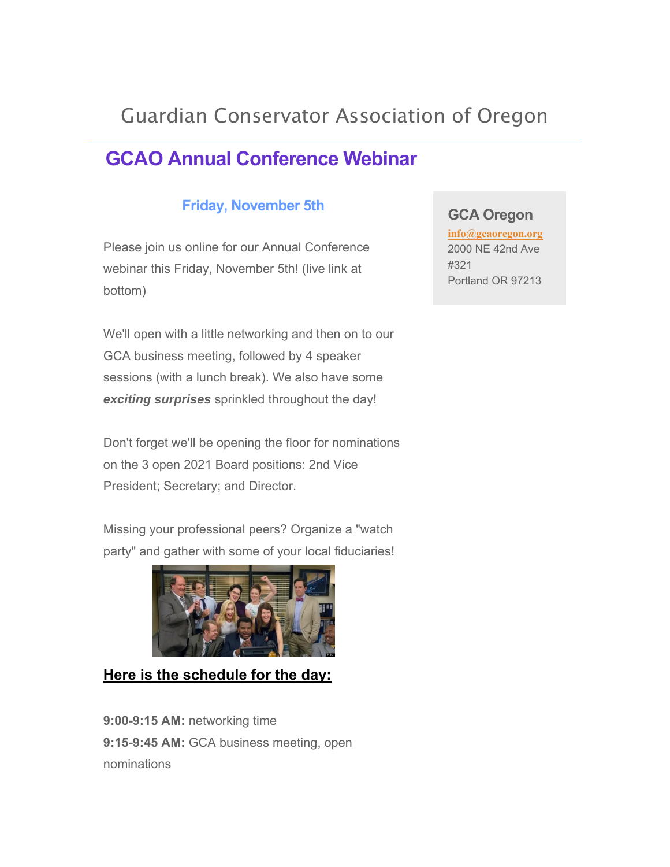# Guardian Conservator Association of Oregon

# **GCAO Annual Conference Webinar**

### **Friday, November 5th**

Please join us online for our Annual Conference webinar this Friday, November 5th! (live link at bottom)

We'll open with a little networking and then on to our GCA business meeting, followed by 4 speaker sessions (with a lunch break). We also have some *exciting surprises* sprinkled throughout the day!

Don't forget we'll be opening the floor for nominations on the 3 open 2021 Board positions: 2nd Vice President; Secretary; and Director.

Missing your professional peers? Organize a "watch party" and gather with some of your local fiduciaries!



#### **Here is the schedule for the day:**

**9:00-9:15 AM:** networking time **9:15-9:45 AM:** GCA business meeting, open nominations

#### **GCA Oregon**

**info@gcaoregon.org** 2000 NE 42nd Ave #321 Portland OR 97213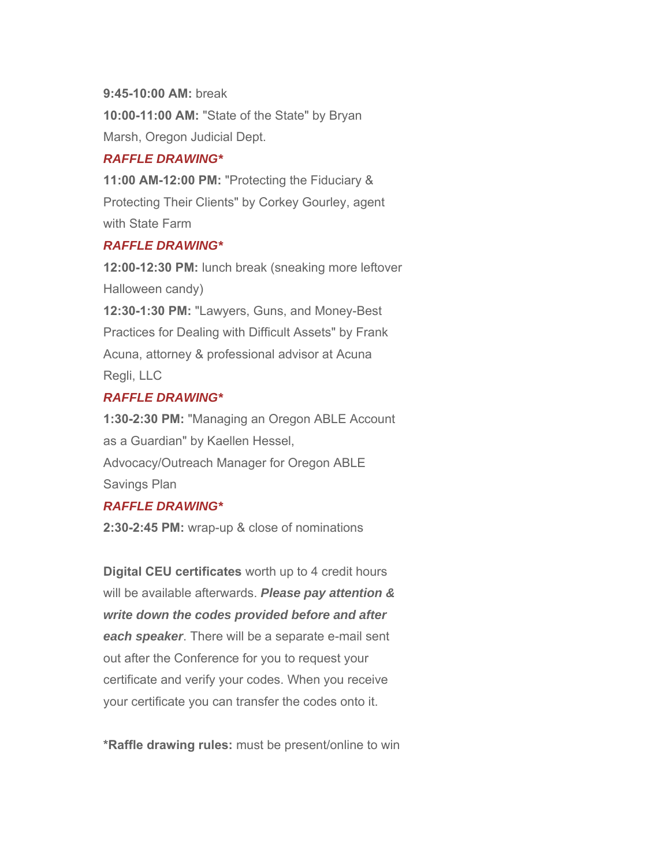#### **9:45-10:00 AM:** break

**10:00-11:00 AM:** "State of the State" by Bryan Marsh, Oregon Judicial Dept.

#### *RAFFLE DRAWING\**

**11:00 AM-12:00 PM:** "Protecting the Fiduciary & Protecting Their Clients" by Corkey Gourley, agent with State Farm

#### *RAFFLE DRAWING\**

**12:00-12:30 PM:** lunch break (sneaking more leftover Halloween candy) **12:30-1:30 PM:** "Lawyers, Guns, and Money-Best Practices for Dealing with Difficult Assets" by Frank Acuna, attorney & professional advisor at Acuna Regli, LLC

#### *RAFFLE DRAWING\**

**1:30-2:30 PM:** "Managing an Oregon ABLE Account as a Guardian" by Kaellen Hessel, Advocacy/Outreach Manager for Oregon ABLE Savings Plan

#### *RAFFLE DRAWING\**

**2:30-2:45 PM:** wrap-up & close of nominations

**Digital CEU certificates** worth up to 4 credit hours will be available afterwards. *Please pay attention & write down the codes provided before and after each speaker*. There will be a separate e-mail sent out after the Conference for you to request your certificate and verify your codes. When you receive your certificate you can transfer the codes onto it.

**\*Raffle drawing rules:** must be present/online to win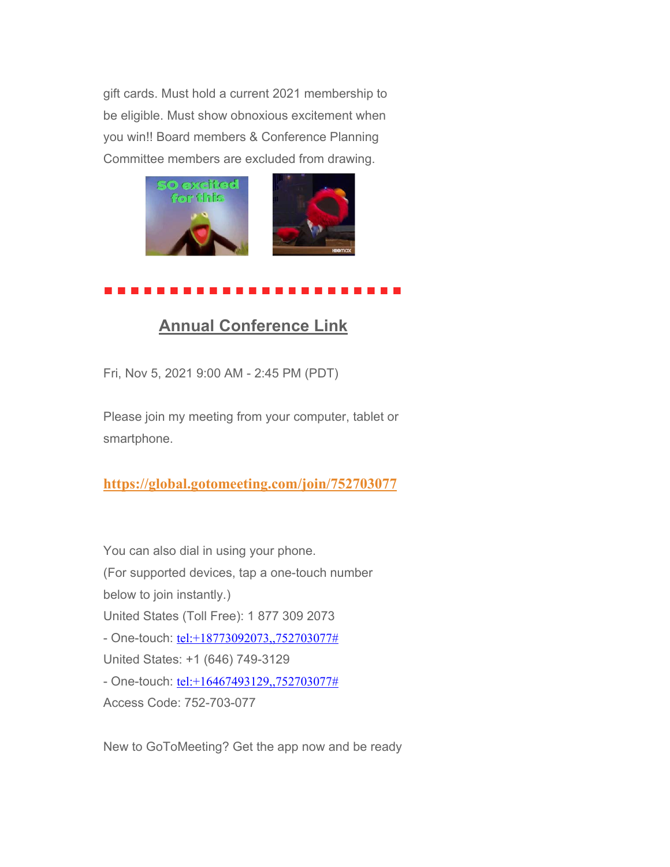gift cards. Must hold a current 2021 membership to be eligible. Must show obnoxious excitement when you win!! Board members & Conference Planning Committee members are excluded from drawing.



## **Annual Conference Link**

Fri, Nov 5, 2021 9:00 AM - 2:45 PM (PDT)

Please join my meeting from your computer, tablet or smartphone.

**https://global.gotomeeting.com/join/752703077**

You can also dial in using your phone. (For supported devices, tap a one-touch number below to join instantly.) United States (Toll Free): 1 877 309 2073 - One-touch: tel:+18773092073,,752703077# United States: +1 (646) 749-3129 - One-touch: tel:+16467493129,,752703077# Access Code: 752-703-077

New to GoToMeeting? Get the app now and be ready